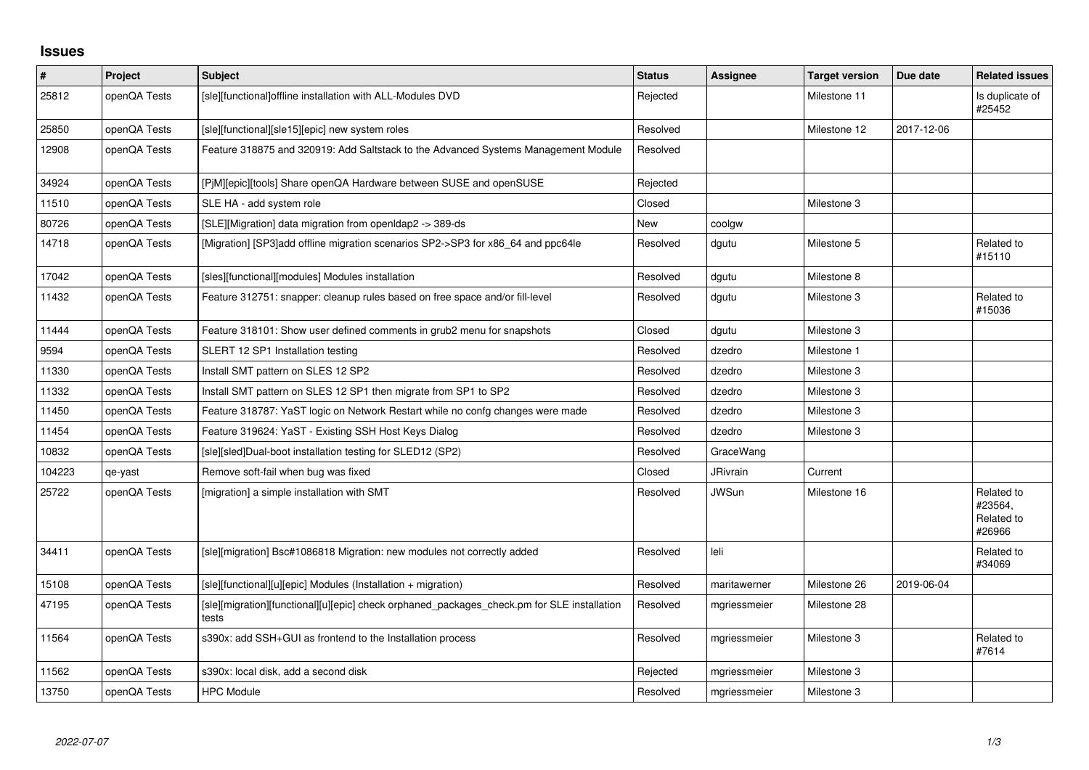## **Issues**

| $\pmb{\sharp}$ | Project      | Subject                                                                                              | <b>Status</b> | <b>Assignee</b> | <b>Target version</b> | Due date   | <b>Related issues</b>                         |
|----------------|--------------|------------------------------------------------------------------------------------------------------|---------------|-----------------|-----------------------|------------|-----------------------------------------------|
| 25812          | openQA Tests | [sle][functional]offline installation with ALL-Modules DVD                                           | Rejected      |                 | Milestone 11          |            | Is duplicate of<br>#25452                     |
| 25850          | openQA Tests | [sle][functional][sle15][epic] new system roles                                                      | Resolved      |                 | Milestone 12          | 2017-12-06 |                                               |
| 12908          | openQA Tests | Feature 318875 and 320919: Add Saltstack to the Advanced Systems Management Module                   | Resolved      |                 |                       |            |                                               |
| 34924          | openQA Tests | [PjM][epic][tools] Share openQA Hardware between SUSE and openSUSE                                   | Rejected      |                 |                       |            |                                               |
| 11510          | openQA Tests | SLE HA - add system role                                                                             | Closed        |                 | Milestone 3           |            |                                               |
| 80726          | openQA Tests | [SLE][Migration] data migration from openIdap2 -> 389-ds                                             | <b>New</b>    | coolgw          |                       |            |                                               |
| 14718          | openQA Tests | [Migration] [SP3]add offline migration scenarios SP2->SP3 for x86_64 and ppc64le                     | Resolved      | dgutu           | Milestone 5           |            | Related to<br>#15110                          |
| 17042          | openQA Tests | [sles][functional][modules] Modules installation                                                     | Resolved      | dgutu           | Milestone 8           |            |                                               |
| 11432          | openQA Tests | Feature 312751: snapper: cleanup rules based on free space and/or fill-level                         | Resolved      | dgutu           | Milestone 3           |            | Related to<br>#15036                          |
| 11444          | openQA Tests | Feature 318101: Show user defined comments in grub2 menu for snapshots                               | Closed        | dgutu           | Milestone 3           |            |                                               |
| 9594           | openQA Tests | SLERT 12 SP1 Installation testing                                                                    | Resolved      | dzedro          | Milestone 1           |            |                                               |
| 11330          | openQA Tests | Install SMT pattern on SLES 12 SP2                                                                   | Resolved      | dzedro          | Milestone 3           |            |                                               |
| 11332          | openQA Tests | Install SMT pattern on SLES 12 SP1 then migrate from SP1 to SP2                                      | Resolved      | dzedro          | Milestone 3           |            |                                               |
| 11450          | openQA Tests | Feature 318787: YaST logic on Network Restart while no confg changes were made                       | Resolved      | dzedro          | Milestone 3           |            |                                               |
| 11454          | openQA Tests | Feature 319624: YaST - Existing SSH Host Keys Dialog                                                 | Resolved      | dzedro          | Milestone 3           |            |                                               |
| 10832          | openQA Tests | [sle][sled]Dual-boot installation testing for SLED12 (SP2)                                           | Resolved      | GraceWang       |                       |            |                                               |
| 104223         | qe-yast      | Remove soft-fail when bug was fixed                                                                  | Closed        | JRivrain        | Current               |            |                                               |
| 25722          | openQA Tests | [migration] a simple installation with SMT                                                           | Resolved      | <b>JWSun</b>    | Milestone 16          |            | Related to<br>#23564,<br>Related to<br>#26966 |
| 34411          | openQA Tests | [sle][migration] Bsc#1086818 Migration: new modules not correctly added                              | Resolved      | leli            |                       |            | Related to<br>#34069                          |
| 15108          | openQA Tests | [sle][functional][u][epic] Modules (Installation + migration)                                        | Resolved      | maritawerner    | Milestone 26          | 2019-06-04 |                                               |
| 47195          | openQA Tests | [sle][migration][functional][u][epic] check orphaned packages_check.pm for SLE installation<br>tests | Resolved      | mgriessmeier    | Milestone 28          |            |                                               |
| 11564          | openQA Tests | s390x: add SSH+GUI as frontend to the Installation process                                           | Resolved      | mgriessmeier    | Milestone 3           |            | Related to<br>#7614                           |
| 11562          | openQA Tests | s390x: local disk, add a second disk                                                                 | Rejected      | mgriessmeier    | Milestone 3           |            |                                               |
| 13750          | openQA Tests | <b>HPC Module</b>                                                                                    | Resolved      | mgriessmeier    | Milestone 3           |            |                                               |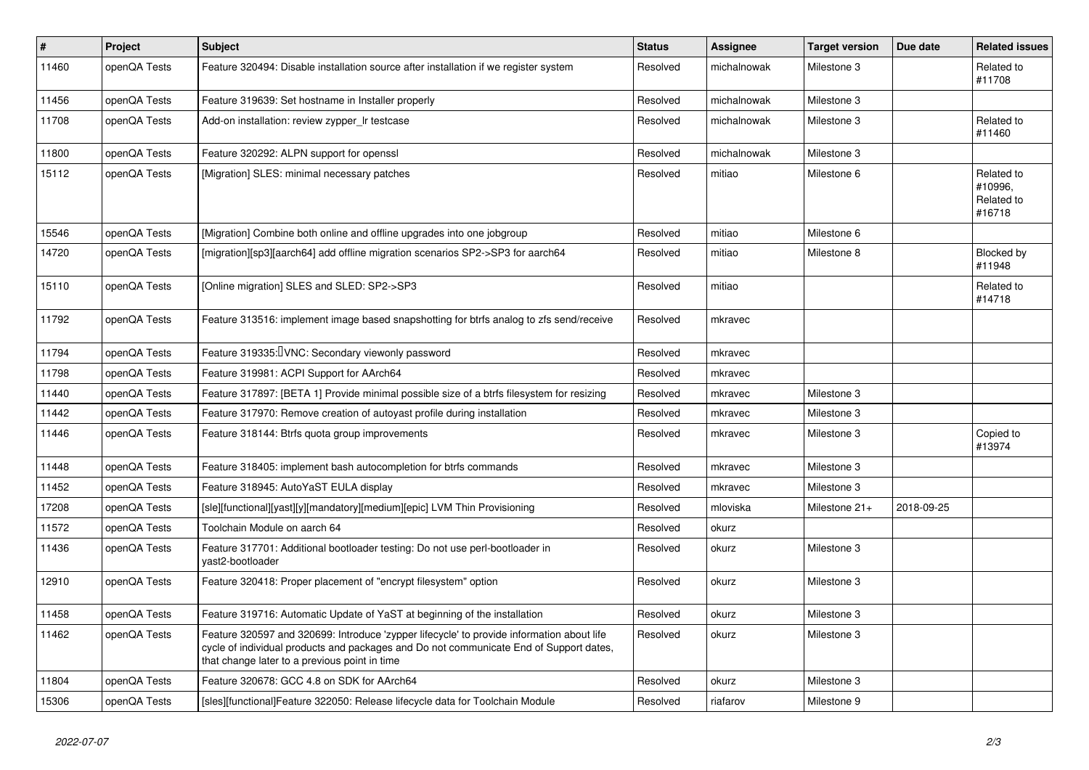| $\vert$ # | Project      | <b>Subject</b>                                                                                                                                                                                                                       | <b>Status</b> | Assignee    | <b>Target version</b> | Due date   | <b>Related issues</b>                         |
|-----------|--------------|--------------------------------------------------------------------------------------------------------------------------------------------------------------------------------------------------------------------------------------|---------------|-------------|-----------------------|------------|-----------------------------------------------|
| 11460     | openQA Tests | Feature 320494: Disable installation source after installation if we register system                                                                                                                                                 | Resolved      | michalnowak | Milestone 3           |            | Related to<br>#11708                          |
| 11456     | openQA Tests | Feature 319639: Set hostname in Installer properly                                                                                                                                                                                   | Resolved      | michalnowak | Milestone 3           |            |                                               |
| 11708     | openQA Tests | Add-on installation: review zypper_Ir testcase                                                                                                                                                                                       | Resolved      | michalnowak | Milestone 3           |            | Related to<br>#11460                          |
| 11800     | openQA Tests | Feature 320292: ALPN support for openssl                                                                                                                                                                                             | Resolved      | michalnowak | Milestone 3           |            |                                               |
| 15112     | openQA Tests | [Migration] SLES: minimal necessary patches                                                                                                                                                                                          | Resolved      | mitiao      | Milestone 6           |            | Related to<br>#10996.<br>Related to<br>#16718 |
| 15546     | openQA Tests | [Migration] Combine both online and offline upgrades into one jobgroup                                                                                                                                                               | Resolved      | mitiao      | Milestone 6           |            |                                               |
| 14720     | openQA Tests | [migration][sp3][aarch64] add offline migration scenarios SP2->SP3 for aarch64                                                                                                                                                       | Resolved      | mitiao      | Milestone 8           |            | Blocked by<br>#11948                          |
| 15110     | openQA Tests | [Online migration] SLES and SLED: SP2->SP3                                                                                                                                                                                           | Resolved      | mitiao      |                       |            | Related to<br>#14718                          |
| 11792     | openQA Tests | Feature 313516: implement image based snapshotting for btrfs analog to zfs send/receive                                                                                                                                              | Resolved      | mkravec     |                       |            |                                               |
| 11794     | openQA Tests | Feature 319335: VNC: Secondary viewonly password                                                                                                                                                                                     | Resolved      | mkravec     |                       |            |                                               |
| 11798     | openQA Tests | Feature 319981: ACPI Support for AArch64                                                                                                                                                                                             | Resolved      | mkravec     |                       |            |                                               |
| 11440     | openQA Tests | Feature 317897: [BETA 1] Provide minimal possible size of a btrfs filesystem for resizing                                                                                                                                            | Resolved      | mkravec     | Milestone 3           |            |                                               |
| 11442     | openQA Tests | Feature 317970: Remove creation of autoyast profile during installation                                                                                                                                                              | Resolved      | mkravec     | Milestone 3           |            |                                               |
| 11446     | openQA Tests | Feature 318144: Btrfs quota group improvements                                                                                                                                                                                       | Resolved      | mkravec     | Milestone 3           |            | Copied to<br>#13974                           |
| 11448     | openQA Tests | Feature 318405: implement bash autocompletion for btrfs commands                                                                                                                                                                     | Resolved      | mkravec     | Milestone 3           |            |                                               |
| 11452     | openQA Tests | Feature 318945: AutoYaST EULA display                                                                                                                                                                                                | Resolved      | mkravec     | Milestone 3           |            |                                               |
| 17208     | openQA Tests | [sle][functional][yast][y][mandatory][medium][epic] LVM Thin Provisioning                                                                                                                                                            | Resolved      | mloviska    | Milestone 21+         | 2018-09-25 |                                               |
| 11572     | openQA Tests | Toolchain Module on aarch 64                                                                                                                                                                                                         | Resolved      | okurz       |                       |            |                                               |
| 11436     | openQA Tests | Feature 317701: Additional bootloader testing: Do not use perl-bootloader in<br>vast2-bootloader                                                                                                                                     | Resolved      | okurz       | Milestone 3           |            |                                               |
| 12910     | openQA Tests | Feature 320418: Proper placement of "encrypt filesystem" option                                                                                                                                                                      | Resolved      | okurz       | Milestone 3           |            |                                               |
| 11458     | openQA Tests | Feature 319716: Automatic Update of YaST at beginning of the installation                                                                                                                                                            | Resolved      | okurz       | Milestone 3           |            |                                               |
| 11462     | openQA Tests | Feature 320597 and 320699: Introduce 'zypper lifecycle' to provide information about life<br>cycle of individual products and packages and Do not communicate End of Support dates,<br>that change later to a previous point in time | Resolved      | okurz       | Milestone 3           |            |                                               |
| 11804     | openQA Tests | Feature 320678: GCC 4.8 on SDK for AArch64                                                                                                                                                                                           | Resolved      | okurz       | Milestone 3           |            |                                               |
| 15306     | openQA Tests | [sles][functional]Feature 322050: Release lifecycle data for Toolchain Module                                                                                                                                                        | Resolved      | riafarov    | Milestone 9           |            |                                               |